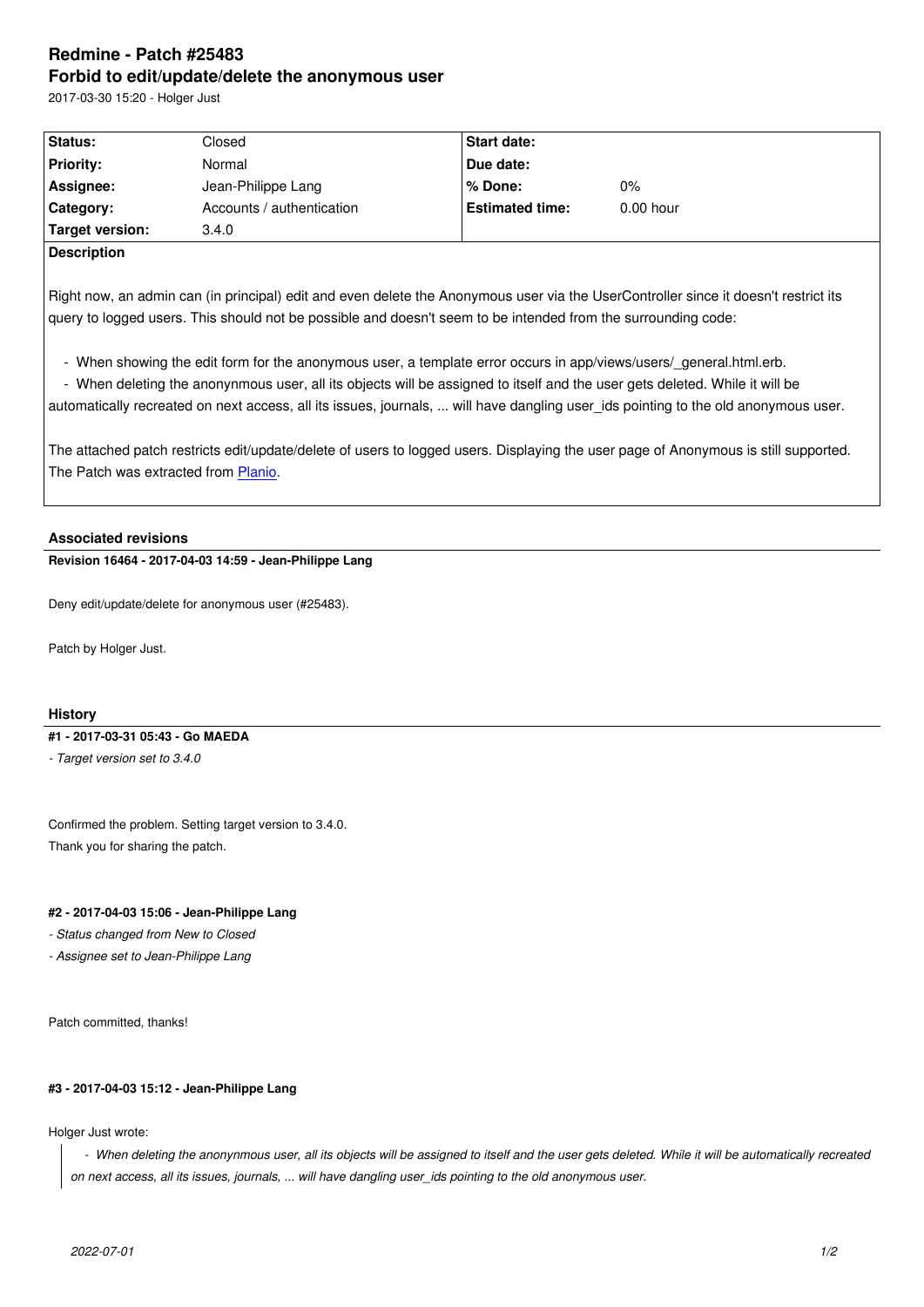#### **Forbid to edit/update/delete the anonymous user**

2017-03-30 15:20 - Holger Just

| Status:                  | Closed                    | <b>Start date:</b>     |             |  |
|--------------------------|---------------------------|------------------------|-------------|--|
| <b>Priority:</b>         | Normal                    | Due date:              |             |  |
| Assignee:                | Jean-Philippe Lang        | l% Done:               | 0%          |  |
| Category:                | Accounts / authentication | <b>Estimated time:</b> | $0.00$ hour |  |
| Target version:          | 3.4.0                     |                        |             |  |
| $\overline{\phantom{a}}$ |                           |                        |             |  |

**Description**

Right now, an admin can (in principal) edit and even delete the Anonymous user via the UserController since it doesn't restrict its query to logged users. This should not be possible and doesn't seem to be intended from the surrounding code:

- When showing the edit form for the anonymous user, a template error occurs in app/views/users/\_general.html.erb.
- When deleting the anonynmous user, all its objects will be assigned to itself and the user gets deleted. While it will be

automatically recreated on next access, all its issues, journals, ... will have dangling user\_ids pointing to the old anonymous user.

The attached patch restricts edit/update/delete of users to logged users. Displaying the user page of Anonymous is still supported. The Patch was extracted from Planio.

## **Associated revisions**

**Revision 16464 - 2017-04-03 14:[59 - Jea](https://plan.io/redmine-hosting)n-Philippe Lang**

Deny edit/update/delete for anonymous user (#25483).

Patch by Holger Just.

# **History**

### **#1 - 2017-03-31 05:43 - Go MAEDA**

*- Target version set to 3.4.0*

Confirmed the problem. Setting target version to 3.4.0. Thank you for sharing the patch.

### **#2 - 2017-04-03 15:06 - Jean-Philippe Lang**

*- Status changed from New to Closed*

*- Assignee set to Jean-Philippe Lang*

Patch committed, thanks!

### **#3 - 2017-04-03 15:12 - Jean-Philippe Lang**

Holger Just wrote:

 *- When deleting the anonynmous user, all its objects will be assigned to itself and the user gets deleted. While it will be automatically recreated on next access, all its issues, journals, ... will have dangling user\_ids pointing to the old anonymous user.*